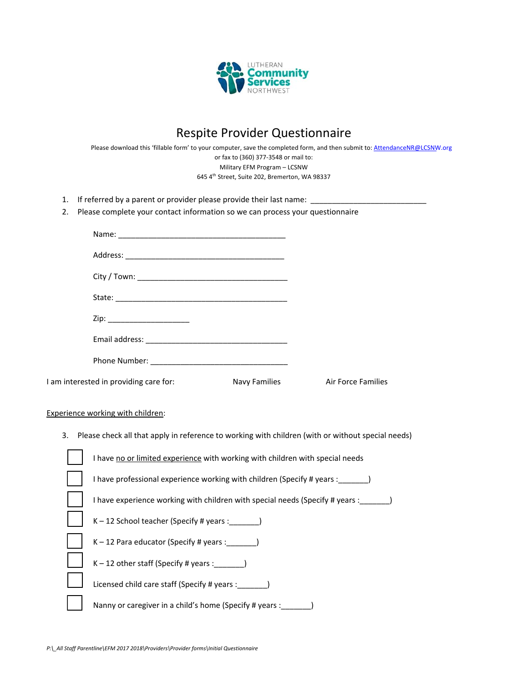

## Respite Provider Questionnaire

Please download this 'fillable form' to your computer, save the completed form, and then submit to: AttendanceNR@LCSNW.org or fax to (360) 377‐3548 or mail to: Military EFM Program – LCSNW 645 4th Street, Suite 202, Bremerton, WA 98337

- 1. If referred by a parent or provider please provide their last name:
- 2. Please complete your contact information so we can process your questionnaire

| Zip: ________________________          |               |                    |
|----------------------------------------|---------------|--------------------|
|                                        |               |                    |
|                                        |               |                    |
| I am interested in providing care for: | Navy Families | Air Force Families |

## Experience working with children:

3. Please check all that apply in reference to working with children (with or without special needs)

| I have no or limited experience with working with children with special needs |
|-------------------------------------------------------------------------------|
| I have professional experience working with children (Specify # years :       |
| I have experience working with children with special needs (Specify # years : |
| $K-12$ School teacher (Specify # years :                                      |
| $K-12$ Para educator (Specify # years :                                       |
| $K-12$ other staff (Specify # years :                                         |
| Licensed child care staff (Specify # years :                                  |
| Nanny or caregiver in a child's home (Specify # years :                       |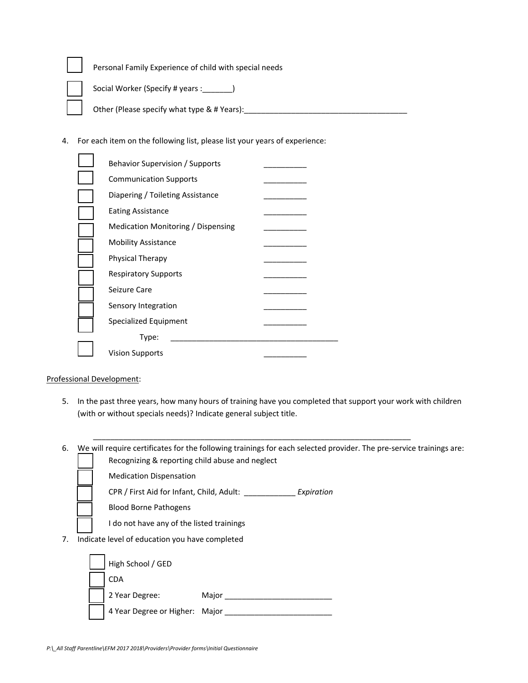| Personal Family Experience of child with special needs |  |
|--------------------------------------------------------|--|
| Social Worker (Specify # years : ________)             |  |
| Other (Please specify what type & # Years):            |  |

4. For each item on the following list, please list your years of experience:

| Behavior Supervision / Supports    |  |
|------------------------------------|--|
| <b>Communication Supports</b>      |  |
| Diapering / Toileting Assistance   |  |
| <b>Eating Assistance</b>           |  |
| Medication Monitoring / Dispensing |  |
| <b>Mobility Assistance</b>         |  |
| Physical Therapy                   |  |
| <b>Respiratory Supports</b>        |  |
| Seizure Care                       |  |
| Sensory Integration                |  |
| Specialized Equipment              |  |
| Type:                              |  |
| <b>Vision Supports</b>             |  |
|                                    |  |

## Professional Development:

- 5. In the past three years, how many hours of training have you completed that support your work with children (with or without specials needs)? Indicate general subject title.
- 6. We will require certificates for the following trainings for each selected provider. The pre‐service trainings are: Recognizing & reporting child abuse and neglect

\_\_\_\_\_\_\_\_\_\_\_\_\_\_\_\_\_\_\_\_\_\_\_\_\_\_\_\_\_\_\_\_\_\_\_\_\_\_\_\_\_\_\_\_\_\_\_\_\_\_\_\_\_\_\_\_\_\_\_\_\_\_\_\_\_\_\_\_\_\_\_\_\_\_

CPR / First Aid for Infant, Child, Adult: \_\_\_\_\_\_\_\_\_\_\_\_ *Expiration*

Blood Borne Pathogens

- I do not have any of the listed trainings
- 7. Indicate level of education you have completed

| High School / GED              |       |
|--------------------------------|-------|
| <b>CDA</b>                     |       |
| 2 Year Degree:                 | Major |
| 4 Year Degree or Higher: Major |       |